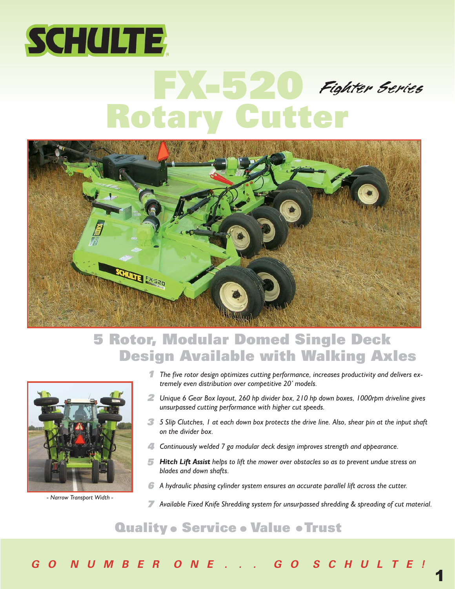

# Rotary Cutter Fighter Series



## 5 Rotor, Modular Domed Single Deck Design Available with Walking Axles



*- Narrow Transport Width -*

- *The five rotor design optimizes cutting performance, increases productivity and delivers ex-*1 *tremely even distribution over competitive 20' models.*
- 2 Unique 6 Gear Box layout, 260 hp divider box, 210 hp down boxes, 1000rpm driveline gives *unsurpassed cutting performance with higher cut speeds.*
- *5 Slip Clutches, 1 at each down box protects the drive line. Also, shear pin at the input shaft* 3 *on the divider box.*
- *Continuously welded 7 ga modular deck design improves strength and appearance.* 4
- *Hitch Lift Assist helps to lift the mower over obstacles so as to prevent undue stress on* 5 *blades and down shafts.*
- *A hydraulic phasing cylinder system ensures an accurate parallel lift across the cutter.* 6
- *Available Fixed Knife Shredding system for unsurpassed shredding & spreading of cut material.* 7

1

### **Quality • Service • Value • Trust**

**G O N U M B E R O N E . . . G O S C H U L T E !**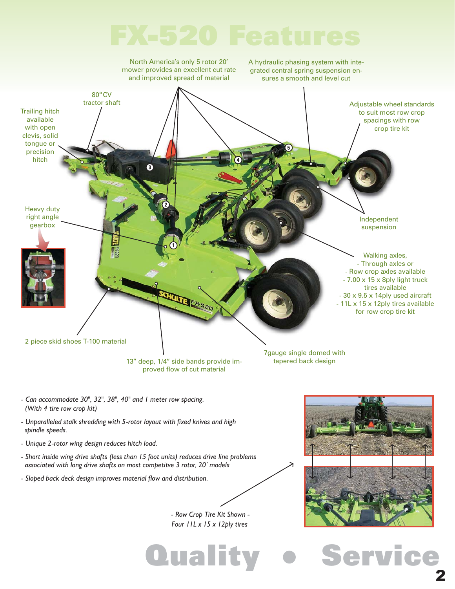

*- Row Crop Tire Kit Shown - Four 11L x 15 x 12ply tires*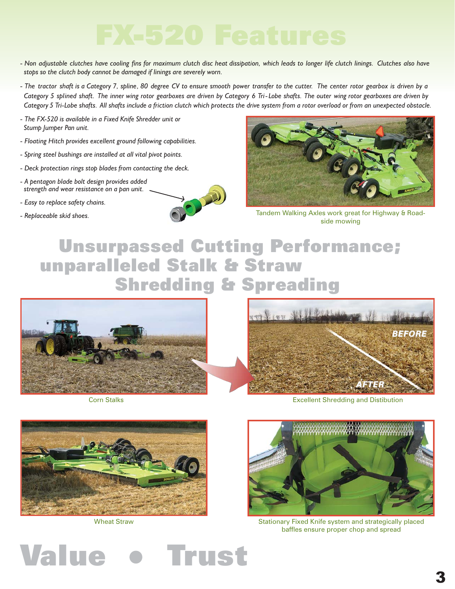- Non adjustable clutches have cooling fins for maximum clutch disc heat dissipation, which leads to longer life clutch linings. Clutches also have *stops so the clutch body cannot be damaged if linings are severely worn.*
- *The tractor shaft is a Category 7, spline, 80 degree CV to ensure smooth power transfer to the cutter. The center rotor gearbox is driven by a Category 5 splined shaft. The inner wing rotor gearboxes are driven by Category 6 Tri-Lobe shafts. The outer wing rotor gearboxes are driven by Category 5 Tri-Lobe shafts. All shafts include a friction clutch which protects the drive system from a rotor overload or from an unexpected obstacle.*
- *The FX-520 is available in a Fixed Knife Shredder unit or Stump Jumper Pan unit.*
- *Floating Hitch provides excellent ground following capabilities.*
- *Spring steel bushings are installed at all vital pivot points.*
- *Deck protection rings stop blades from contacting the deck.*
- *A pentagon blade bolt design provides added strength and wear resistance on a pan unit.*
- *Easy to replace safety chains.*







Tandem Walking Axles work great for Highway & Roadside mowing

# Unsurpassed Cutting Performance; unparalleled Stalk & Straw Shredding & Spreading



Corn Stalks



Excellent Shredding and Distibution



Wheat Straw



Stationary Fixed Knife system and strategically placed baffles ensure proper chop and spread